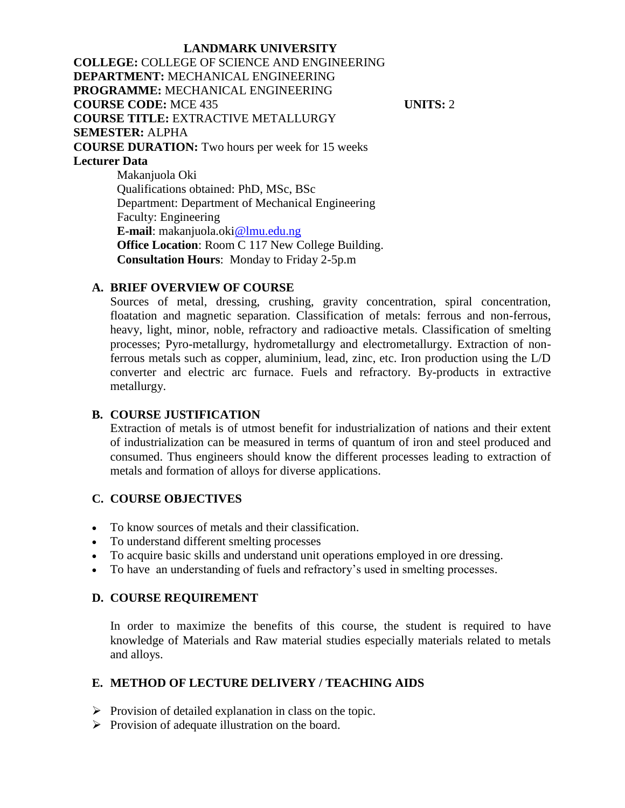**LANDMARK UNIVERSITY COLLEGE:** COLLEGE OF SCIENCE AND ENGINEERING **DEPARTMENT:** MECHANICAL ENGINEERING **PROGRAMME:** MECHANICAL ENGINEERING **COURSE CODE:** MCE 435 **UNITS:** 2 **COURSE TITLE:** EXTRACTIVE METALLURGY **SEMESTER:** ALPHA **COURSE DURATION:** Two hours per week for 15 weeks **Lecturer Data** Makanjuola Oki Qualifications obtained: PhD, MSc, BSc Department: Department of Mechanical Engineering Faculty: Engineering **E-mail**: makanjuola.oki@lmu.edu.ng **Office Location**: Room C 117 New College Building. **Consultation Hours**: Monday to Friday 2-5p.m

#### **A. BRIEF OVERVIEW OF COURSE**

Sources of metal, dressing, crushing, gravity concentration, spiral concentration, floatation and magnetic separation. Classification of metals: ferrous and non-ferrous, heavy, light, minor, noble, refractory and radioactive metals. Classification of smelting processes; Pyro-metallurgy, hydrometallurgy and electrometallurgy. Extraction of nonferrous metals such as copper, aluminium, lead, zinc, etc. Iron production using the L/D converter and electric arc furnace. Fuels and refractory. By-products in extractive metallurgy.

#### **B. COURSE JUSTIFICATION**

Extraction of metals is of utmost benefit for industrialization of nations and their extent of industrialization can be measured in terms of quantum of iron and steel produced and consumed. Thus engineers should know the different processes leading to extraction of metals and formation of alloys for diverse applications.

#### **C. COURSE OBJECTIVES**

- To know sources of metals and their classification.
- To understand different smelting processes
- To acquire basic skills and understand unit operations employed in ore dressing.
- To have an understanding of fuels and refractory's used in smelting processes.

#### **D. COURSE REQUIREMENT**

In order to maximize the benefits of this course, the student is required to have knowledge of Materials and Raw material studies especially materials related to metals and alloys.

#### **E. METHOD OF LECTURE DELIVERY / TEACHING AIDS**

- $\triangleright$  Provision of detailed explanation in class on the topic.
- $\triangleright$  Provision of adequate illustration on the board.